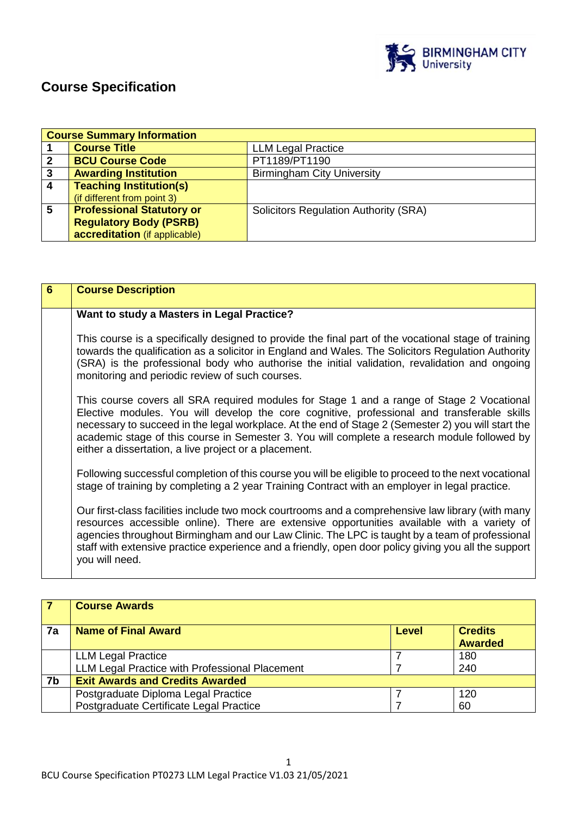

# **Course Specification**

|                         | <b>Course Summary Information</b> |                                              |  |  |
|-------------------------|-----------------------------------|----------------------------------------------|--|--|
|                         | <b>Course Title</b>               | <b>LLM Legal Practice</b>                    |  |  |
| $\mathbf{2}$            | <b>BCU Course Code</b>            | PT1189/PT1190                                |  |  |
| $\mathbf{3}$            | <b>Awarding Institution</b>       | <b>Birmingham City University</b>            |  |  |
| $\overline{\mathbf{4}}$ | <b>Teaching Institution(s)</b>    |                                              |  |  |
|                         | (if different from point 3)       |                                              |  |  |
| $\overline{\mathbf{5}}$ | <b>Professional Statutory or</b>  | <b>Solicitors Regulation Authority (SRA)</b> |  |  |
|                         | <b>Regulatory Body (PSRB)</b>     |                                              |  |  |
|                         | accreditation (if applicable)     |                                              |  |  |

| 6 | <b>Course Description</b>                                                                                                                                                                                                                                                                                                                                                                                                                               |
|---|---------------------------------------------------------------------------------------------------------------------------------------------------------------------------------------------------------------------------------------------------------------------------------------------------------------------------------------------------------------------------------------------------------------------------------------------------------|
|   | Want to study a Masters in Legal Practice?                                                                                                                                                                                                                                                                                                                                                                                                              |
|   | This course is a specifically designed to provide the final part of the vocational stage of training<br>towards the qualification as a solicitor in England and Wales. The Solicitors Regulation Authority<br>(SRA) is the professional body who authorise the initial validation, revalidation and ongoing<br>monitoring and periodic review of such courses.                                                                                          |
|   | This course covers all SRA required modules for Stage 1 and a range of Stage 2 Vocational<br>Elective modules. You will develop the core cognitive, professional and transferable skills<br>necessary to succeed in the legal workplace. At the end of Stage 2 (Semester 2) you will start the<br>academic stage of this course in Semester 3. You will complete a research module followed by<br>either a dissertation, a live project or a placement. |
|   | Following successful completion of this course you will be eligible to proceed to the next vocational<br>stage of training by completing a 2 year Training Contract with an employer in legal practice.                                                                                                                                                                                                                                                 |
|   | Our first-class facilities include two mock courtrooms and a comprehensive law library (with many<br>resources accessible online). There are extensive opportunities available with a variety of<br>agencies throughout Birmingham and our Law Clinic. The LPC is taught by a team of professional<br>staff with extensive practice experience and a friendly, open door policy giving you all the support<br>you will need.                            |

| - 7 | <b>Course Awards</b>                                                        |  |            |  |  |  |
|-----|-----------------------------------------------------------------------------|--|------------|--|--|--|
| 7a  | <b>Credits</b><br><b>Name of Final Award</b><br>Level<br><b>Awarded</b>     |  |            |  |  |  |
|     | <b>LLM Legal Practice</b><br>LLM Legal Practice with Professional Placement |  | 180<br>240 |  |  |  |
| 7b  | <b>Exit Awards and Credits Awarded</b>                                      |  |            |  |  |  |
|     | Postgraduate Diploma Legal Practice                                         |  | 120        |  |  |  |
|     | Postgraduate Certificate Legal Practice                                     |  | 60         |  |  |  |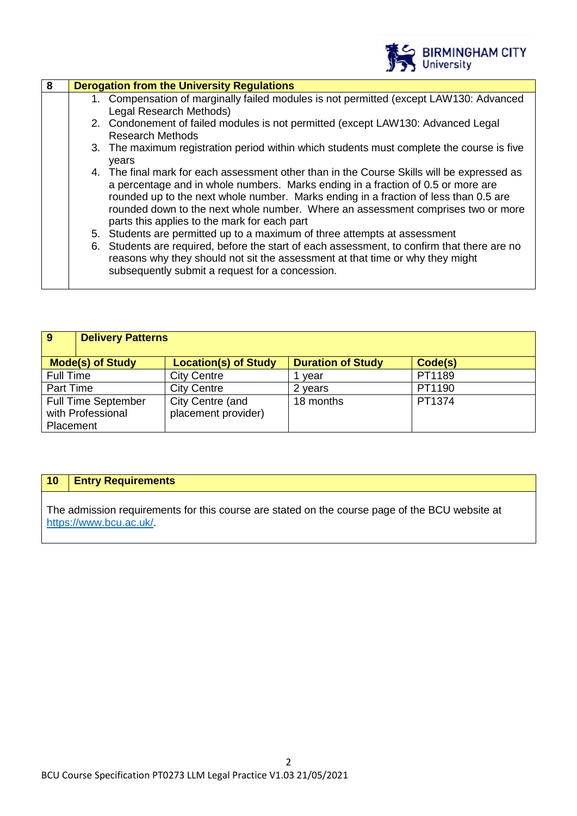

| 8 |    | <b>Derogation from the University Regulations</b>                                                                                                                                                                                                                                                                                                                                                          |
|---|----|------------------------------------------------------------------------------------------------------------------------------------------------------------------------------------------------------------------------------------------------------------------------------------------------------------------------------------------------------------------------------------------------------------|
|   |    | 1. Compensation of marginally failed modules is not permitted (except LAW130: Advanced<br>Legal Research Methods)                                                                                                                                                                                                                                                                                          |
|   |    | 2. Condonement of failed modules is not permitted (except LAW130: Advanced Legal<br>Research Methods                                                                                                                                                                                                                                                                                                       |
|   |    | 3. The maximum registration period within which students must complete the course is five<br>years                                                                                                                                                                                                                                                                                                         |
|   |    | 4. The final mark for each assessment other than in the Course Skills will be expressed as<br>a percentage and in whole numbers. Marks ending in a fraction of 0.5 or more are<br>rounded up to the next whole number. Marks ending in a fraction of less than 0.5 are<br>rounded down to the next whole number. Where an assessment comprises two or more<br>parts this applies to the mark for each part |
|   | 5. | Students are permitted up to a maximum of three attempts at assessment                                                                                                                                                                                                                                                                                                                                     |
|   | 6. | Students are required, before the start of each assessment, to confirm that there are no<br>reasons why they should not sit the assessment at that time or why they might<br>subsequently submit a request for a concession.                                                                                                                                                                               |

| 9                                                                                             | <b>Delivery Patterns</b>                |           |        |  |  |
|-----------------------------------------------------------------------------------------------|-----------------------------------------|-----------|--------|--|--|
| <b>Location(s) of Study</b><br><b>Duration of Study</b><br><b>Mode(s) of Study</b><br>Code(s) |                                         |           |        |  |  |
| Full Time                                                                                     | <b>City Centre</b>                      | vear      | PT1189 |  |  |
| Part Time                                                                                     | <b>City Centre</b>                      | 2 years   | PT1190 |  |  |
| <b>Full Time September</b><br>with Professional<br>Placement                                  | City Centre (and<br>placement provider) | 18 months | PT1374 |  |  |

# **10 Entry Requirements**

The admission requirements for this course are stated on the course page of the BCU website at [https://www.bcu.ac.uk/.](https://www.bcu.ac.uk/)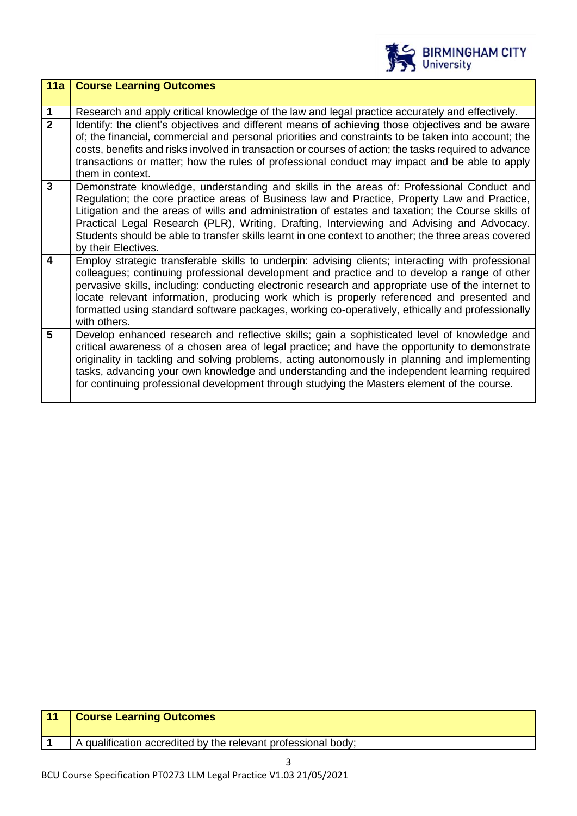

| 11a                     | <b>Course Learning Outcomes</b>                                                                                                                                                                                                                                                                                                                                                                                                                                                                                              |
|-------------------------|------------------------------------------------------------------------------------------------------------------------------------------------------------------------------------------------------------------------------------------------------------------------------------------------------------------------------------------------------------------------------------------------------------------------------------------------------------------------------------------------------------------------------|
| 1                       | Research and apply critical knowledge of the law and legal practice accurately and effectively.                                                                                                                                                                                                                                                                                                                                                                                                                              |
| $\overline{2}$          | Identify: the client's objectives and different means of achieving those objectives and be aware<br>of; the financial, commercial and personal priorities and constraints to be taken into account; the<br>costs, benefits and risks involved in transaction or courses of action; the tasks required to advance<br>transactions or matter; how the rules of professional conduct may impact and be able to apply<br>them in context.                                                                                        |
| $\mathbf{3}$            | Demonstrate knowledge, understanding and skills in the areas of: Professional Conduct and<br>Regulation; the core practice areas of Business law and Practice, Property Law and Practice,<br>Litigation and the areas of wills and administration of estates and taxation; the Course skills of<br>Practical Legal Research (PLR), Writing, Drafting, Interviewing and Advising and Advocacy.<br>Students should be able to transfer skills learnt in one context to another; the three areas covered<br>by their Electives. |
| $\overline{\mathbf{4}}$ | Employ strategic transferable skills to underpin: advising clients; interacting with professional<br>colleagues; continuing professional development and practice and to develop a range of other<br>pervasive skills, including: conducting electronic research and appropriate use of the internet to<br>locate relevant information, producing work which is properly referenced and presented and<br>formatted using standard software packages, working co-operatively, ethically and professionally<br>with others.    |
| 5                       | Develop enhanced research and reflective skills; gain a sophisticated level of knowledge and<br>critical awareness of a chosen area of legal practice; and have the opportunity to demonstrate<br>originality in tackling and solving problems, acting autonomously in planning and implementing<br>tasks, advancing your own knowledge and understanding and the independent learning required<br>for continuing professional development through studying the Masters element of the course.                               |

| 11 | <b>Course Learning Outcomes</b>                               |
|----|---------------------------------------------------------------|
|    | A qualification accredited by the relevant professional body; |
|    |                                                               |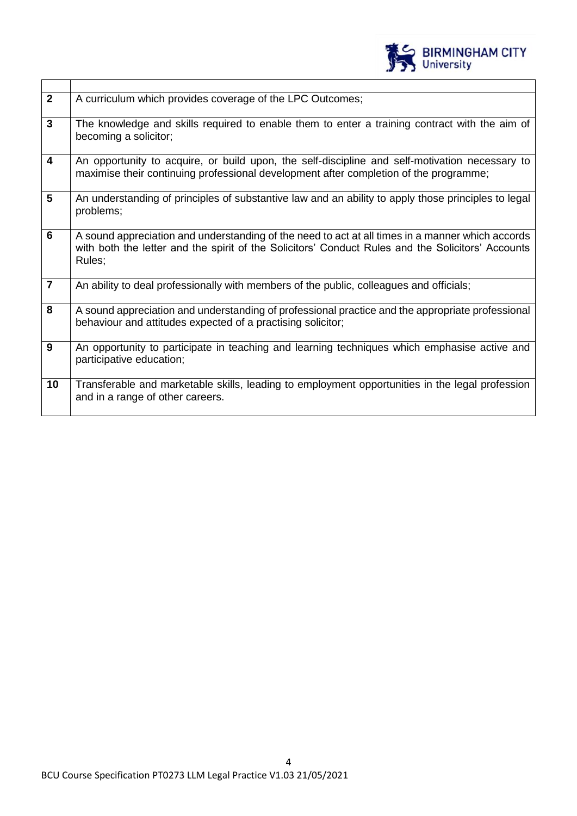

| $\overline{2}$ | A curriculum which provides coverage of the LPC Outcomes;                                                                                                                                                       |
|----------------|-----------------------------------------------------------------------------------------------------------------------------------------------------------------------------------------------------------------|
| $\overline{3}$ | The knowledge and skills required to enable them to enter a training contract with the aim of<br>becoming a solicitor;                                                                                          |
| 4              | An opportunity to acquire, or build upon, the self-discipline and self-motivation necessary to<br>maximise their continuing professional development after completion of the programme;                         |
| 5              | An understanding of principles of substantive law and an ability to apply those principles to legal<br>problems;                                                                                                |
| 6              | A sound appreciation and understanding of the need to act at all times in a manner which accords<br>with both the letter and the spirit of the Solicitors' Conduct Rules and the Solicitors' Accounts<br>Rules: |
| $\overline{7}$ | An ability to deal professionally with members of the public, colleagues and officials;                                                                                                                         |
| 8              | A sound appreciation and understanding of professional practice and the appropriate professional<br>behaviour and attitudes expected of a practising solicitor;                                                 |
| 9              | An opportunity to participate in teaching and learning techniques which emphasise active and<br>participative education;                                                                                        |
| 10             | Transferable and marketable skills, leading to employment opportunities in the legal profession<br>and in a range of other careers.                                                                             |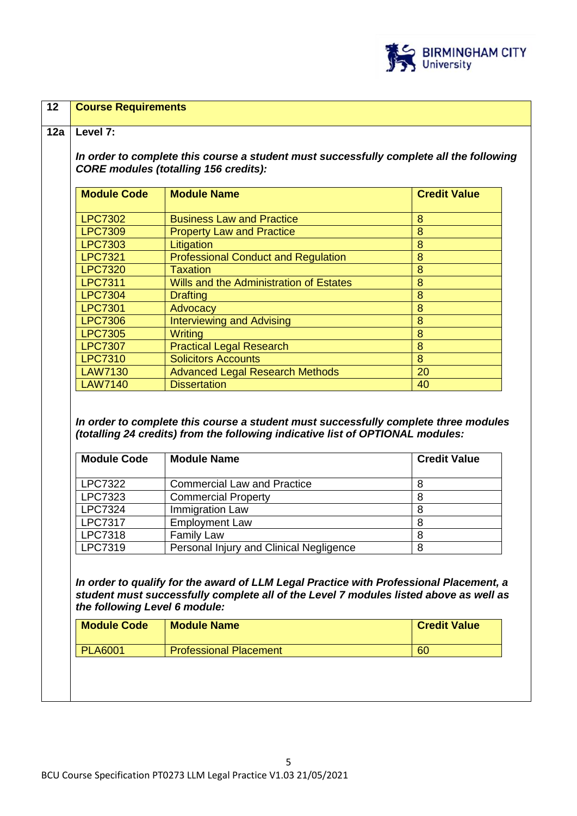

| <b>Module Code</b> | <b>Module Name</b>                         | <b>Credit Value</b> |
|--------------------|--------------------------------------------|---------------------|
| <b>LPC7302</b>     | <b>Business Law and Practice</b>           | 8                   |
| <b>LPC7309</b>     | <b>Property Law and Practice</b>           | 8                   |
| <b>LPC7303</b>     | Litigation                                 | 8                   |
| <b>LPC7321</b>     | <b>Professional Conduct and Regulation</b> | 8                   |
| <b>LPC7320</b>     | <b>Taxation</b>                            | 8                   |
| <b>LPC7311</b>     | Wills and the Administration of Estates    | 8                   |
| <b>LPC7304</b>     | <b>Drafting</b>                            | 8                   |
| <b>LPC7301</b>     | Advocacy                                   | 8                   |
| <b>LPC7306</b>     | <b>Interviewing and Advising</b>           | 8                   |
| <b>LPC7305</b>     | Writing                                    | 8                   |
| <b>LPC7307</b>     | <b>Practical Legal Research</b>            | 8                   |
| <b>LPC7310</b>     | <b>Solicitors Accounts</b>                 | 8                   |
| <b>LAW7130</b>     | <b>Advanced Legal Research Methods</b>     | 20                  |
| <b>LAW7140</b>     | <b>Dissertation</b>                        | 40                  |

| <b>LPC7322</b> | Commercial Law and Practice             |   |
|----------------|-----------------------------------------|---|
| <b>LPC7323</b> | <b>Commercial Property</b>              |   |
| <b>LPC7324</b> | Immigration Law                         |   |
| <b>LPC7317</b> | <b>Employment Law</b>                   |   |
| <b>LPC7318</b> | <b>Family Law</b>                       |   |
| LPC7319        | Personal Injury and Clinical Negligence | 8 |

*In order to qualify for the award of LLM Legal Practice with Professional Placement, a student must successfully complete all of the Level 7 modules listed above as well as the following Level 6 module:*

| <b>Module Code</b> | <b>Module Name</b>            | <b>Credit Value</b> |
|--------------------|-------------------------------|---------------------|
| <b>PLA6001</b>     | <b>Professional Placement</b> | 60                  |
|                    |                               |                     |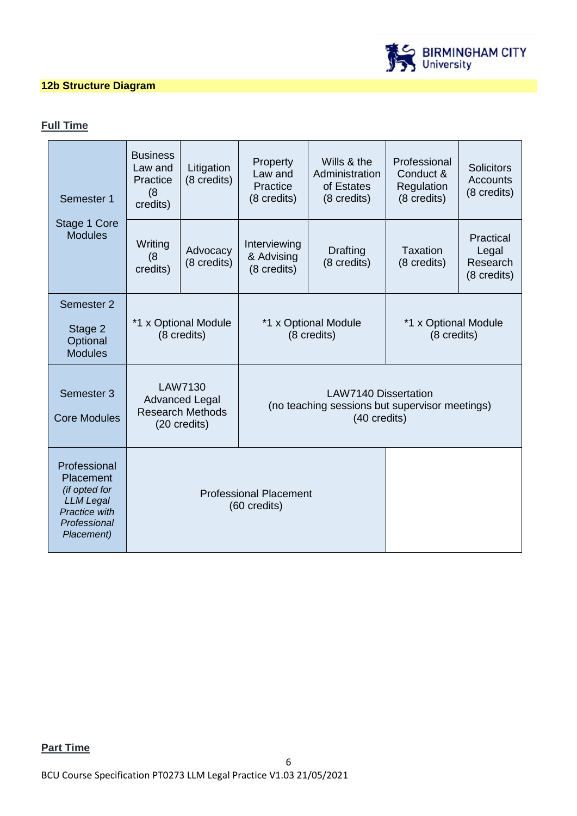

# **12b Structure Diagram**

# **Full Time**

| Semester 1                                                                                                    | <b>Business</b><br>Law and<br>Practice<br>(8)<br>credits) | Litigation<br>(8 credits)                                                          | Property<br>Law and<br>Practice<br>(8 credits)                                                | Wills & the<br>Administration<br>of Estates<br>(8 credits) | Professional<br>Conduct &<br>Regulation<br>(8 credits) | <b>Solicitors</b><br><b>Accounts</b><br>(8 credits) |
|---------------------------------------------------------------------------------------------------------------|-----------------------------------------------------------|------------------------------------------------------------------------------------|-----------------------------------------------------------------------------------------------|------------------------------------------------------------|--------------------------------------------------------|-----------------------------------------------------|
| Stage 1 Core<br><b>Modules</b>                                                                                | Writing<br>(8)<br>credits)                                | Advocacy<br>(8 credits)                                                            | Interviewing<br>& Advising<br>(8 credits)                                                     | <b>Drafting</b><br>(8 credits)                             | Taxation<br>(8 credits)                                | Practical<br>Legal<br>Research<br>(8 credits)       |
| Semester 2<br>Stage 2<br>Optional<br><b>Modules</b>                                                           | *1 x Optional Module<br>(8 credits)                       |                                                                                    | *1 x Optional Module<br>(8 credits)                                                           |                                                            | *1 x Optional Module<br>(8 credits)                    |                                                     |
| Semester 3<br><b>Core Modules</b>                                                                             |                                                           | <b>LAW7130</b><br><b>Advanced Legal</b><br><b>Research Methods</b><br>(20 credits) | <b>LAW7140 Dissertation</b><br>(no teaching sessions but supervisor meetings)<br>(40 credits) |                                                            |                                                        |                                                     |
| Professional<br>Placement<br>(if opted for<br><b>LLM Legal</b><br>Practice with<br>Professional<br>Placement) |                                                           |                                                                                    | <b>Professional Placement</b><br>(60 credits)                                                 |                                                            |                                                        |                                                     |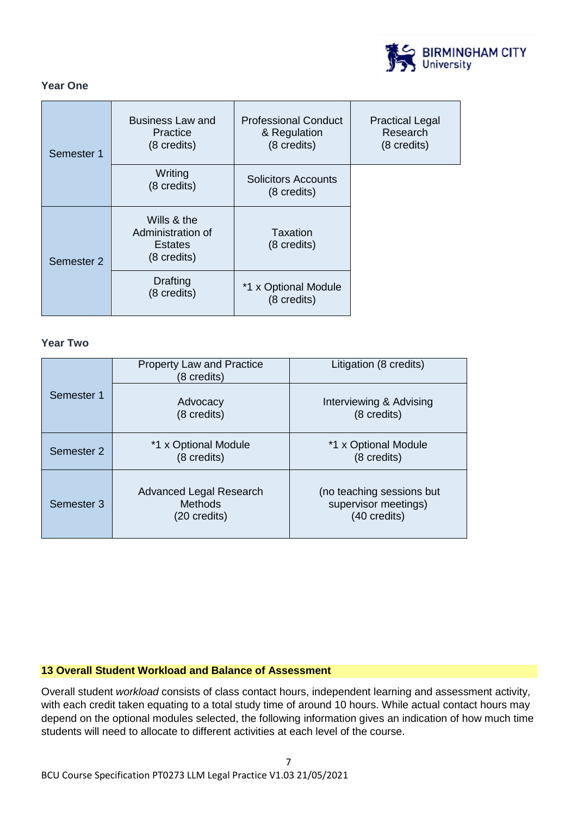

#### **Year One**

| Semester 1 | <b>Business Law and</b><br>Practice<br>(8 credits)                          | <b>Professional Conduct</b><br>& Regulation<br>(8 credits) | <b>Practical Legal</b><br>Research<br>(8 credits) |
|------------|-----------------------------------------------------------------------------|------------------------------------------------------------|---------------------------------------------------|
|            | Writing<br>(8 credits)                                                      | Solicitors Accounts<br>(8 credits)                         |                                                   |
| Semester 2 | Wills & the<br>Administration of<br><b>Estates</b><br>$(8 \text{ credits})$ | Taxation<br>(8 credits)                                    |                                                   |
|            | <b>Drafting</b><br>(8 credits)                                              | *1 x Optional Module<br>(8 credits)                        |                                                   |

#### **Year Two**

| Semester 1 | <b>Property Law and Practice</b><br>(8 credits)           | Litigation (8 credits)                                            |
|------------|-----------------------------------------------------------|-------------------------------------------------------------------|
|            | Advocacy<br>(8 credits)                                   | Interviewing & Advising<br>(8 credits)                            |
| Semester 2 | *1 x Optional Module<br>(8 credits)                       | *1 x Optional Module<br>(8 credits)                               |
| Semester 3 | Advanced Legal Research<br><b>Methods</b><br>(20 credits) | (no teaching sessions but<br>supervisor meetings)<br>(40 credits) |

## **13 Overall Student Workload and Balance of Assessment**

Overall student *workload* consists of class contact hours, independent learning and assessment activity, with each credit taken equating to a total study time of around 10 hours. While actual contact hours may depend on the optional modules selected, the following information gives an indication of how much time students will need to allocate to different activities at each level of the course.